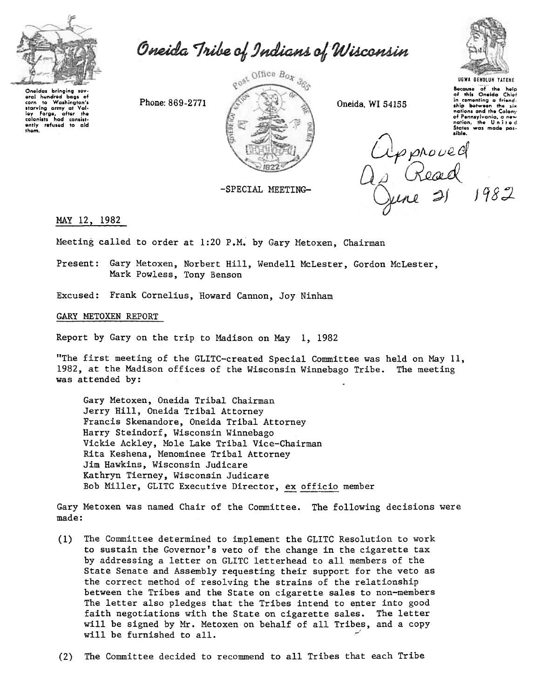

Oneida Tribe of Indians of Wisconsin

Oneidas bringing sov Unexas bringing soveral hundred bags of<br>corn to Washington's<br>starving army at Valley Forge, after the<br>colonists had consistently refused to

gost Office Box 3go Phone: 869-2771

-SPECIAL MEETING-

Oneida, WI 54155



Bocause of the help<br>of this Oneida Chief in comenting a friendship botween the six nations and the Colony of Pennsylvania, a new<br>nation, the United<br>States was made pos-

Opproved<br>10 Read<br>Quine 21 1982

MAY 12, 1982

Meeting called to order at 1:20 P.M. by Gary Metoxen, Chairman

Present: Gary Metoxen, Norbert Hill, Wendell McLester, Gordon McLester, Mark Powless, Tony Benson

Excused: Frank Cornelius, Howard Cannon, Joy Ninham

## GARY METOXEN REPORT

Report by Gary on the trip to Madison on May 1, 1982

"The first meeting of the GLITC-created Special Committee was held on May 11, 1982, at the Madison offices of the Wisconsin Winnebago Tribe. The meeting was attended by:

Gary Metoxen, Oneida Tribal Chairman Jerry Hill, Oneida Tribal Attorney Francis Skenandore, Oneida Tribal Attorney Harry Steindorf, Wisconsin Winnebago Vickie Ackley, Mole Lake Tribal Vice-Chairman Rita Keshena, Menominee Tribal Attorney Jim Hawkins, Wisconsin Judicare Kathryn Tierney, Wisconsin Judicare Bob Miller, GLITC Executive Director, ex officio member

Gary Metoxen was named Chair of the Committee. The following decisions were made:

- (1) The Committee determined to implement the GLITC Resolution to work to sustain the Governor's veto of the change in the cigarette tax by addressing a letter on GLITC letterhead to all members of the State Senate and Assembly requesting their support for the veto as the correct method of resolving the strains of the relationship between the Tribes and the State on cigarette sales to non-members The letter also pledges that the Tribes intend to enter into good faith negotiations with the State on cigarette sales. The letter will be signed by Mr. Metoxen on behalf of all Tribes, and a copy will be furnished to all.
- (2) The Committee decided to recommend to all Tribes that each Tribe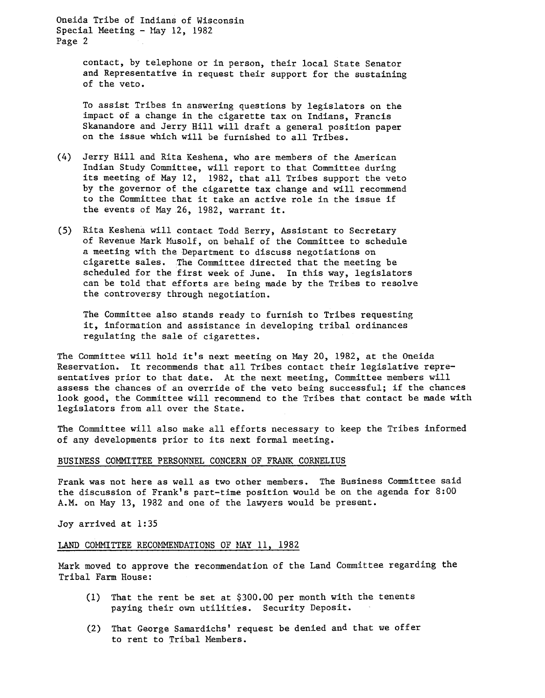Oneida Tribe of Indians of Wisconsin Special Meeting - May 12, 1982 Page 2

> contact, by telephone or in person, their local State Senator and Representative in request their support for the sustaining of the veto.

To assist Tribes in answering questions by legislators on the impact of a change in the cigarette tax on Indians, Francis Skanandore and Jerry Hill will draft a general position paper on the issue which will be furnished to all Tribes.

- (4) Jerry Hill and Rita Keshena, who are members of the American Indian Study Committee, will report to that Committee during its meeting of May 12, 1982, that all Tribes support the veto by the governor of the cigarette tax change and will recommend to the Committee that it take an active role in the issue if the events of May 26, 1982, warrant it.
- (5) Rita Keshena will contact Todd Berry, Assistant to Secretary of Revenue Mark Musolf, on behalf of the Committee to schedule a meeting with the Department to discuss negotiations on cigarette sales. The Committee directed that the meeting be scheduled for the first week of June. In this way, legislators can be told that efforts are being made by the Tribes to resolve the controversy through negotiation.

The Committee also stands ready to furnish to Tribes requesting it, information and assistance in developing tribal ordinances regulating the sale of cigarettes.

The Committee will hold it's next meeting on May 20, 1982, at the Oneida Reservation. It recommends that all Tribes contact their legislative representatives prior to that date. At the next meeting, Committee members will assess the chances of an override of the veto being successful; if the chances look good, the Committee will recommend to the Tribes that contact be made with legislators from all over the State.

The Committee will also make all efforts necessary to keep the Tribes informed of any developments prior to its next formal meeting.

## BUSINESS COMMITTEE PERSONNEL CONCERN OF FRANK CORNELIUS

Frank was not here as well as two other members. The Business Committee said the discussion of Frank's part-time position would be on the agenda for 8:00 A.M. on May 13, 1982 and one of the lawyers would be present.

Joy arrived at 1:35

## LAND COMMITTEE RECOMMENDATIONS OF MAY 11, 1982

Mark moved to approve the recommendation of the Land Committee regarding the Tribal Farm House:

- (1) That the rent be set at \$300.00 per month with the tenents paying their own utilities. Security Deposit.
- (2) That George Samardichs' request be denied and that we off to rent to Tribal Members.